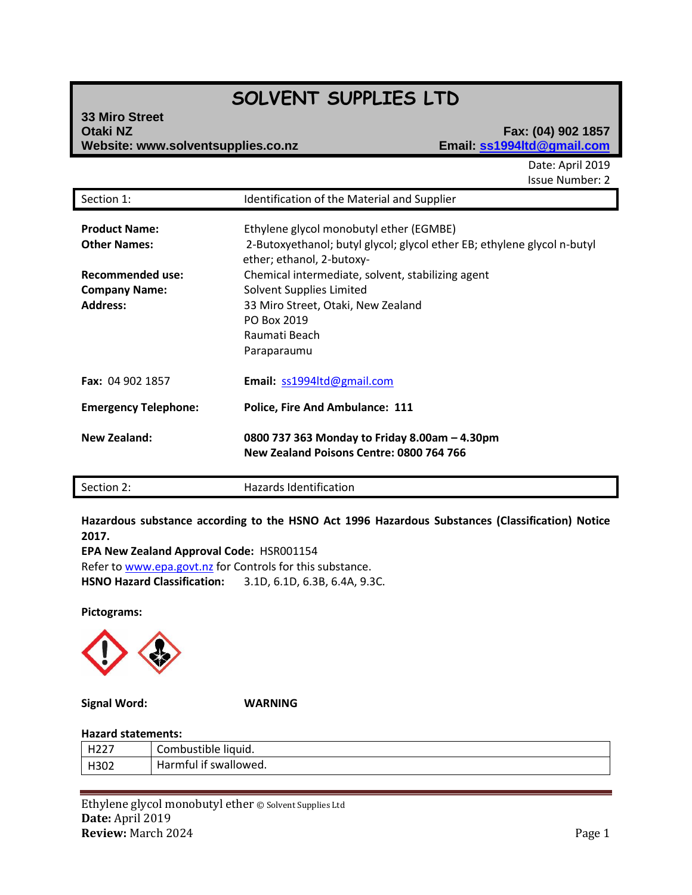# **SOLVENT SUPPLIES LTD**

| <b>33 Miro Street</b>              |  |
|------------------------------------|--|
| <b>Otaki NZ</b>                    |  |
| Website: www.solventsupplies.co.nz |  |

## **Otaki NZ Fax: (04) 902 1857 Website: www.solventsupplies.co.nz Email: ss1994ltd@gmail.com**

Date: April 2019 Issue Number: 2

| Section 1:                                                                                                 | Identification of the Material and Supplier                                                                                                                                                                                                                                                                           |
|------------------------------------------------------------------------------------------------------------|-----------------------------------------------------------------------------------------------------------------------------------------------------------------------------------------------------------------------------------------------------------------------------------------------------------------------|
| <b>Product Name:</b><br><b>Other Names:</b><br>Recommended use:<br><b>Company Name:</b><br><b>Address:</b> | Ethylene glycol monobutyl ether (EGMBE)<br>2-Butoxyethanol; butyl glycol; glycol ether EB; ethylene glycol n-butyl<br>ether; ethanol, 2-butoxy-<br>Chemical intermediate, solvent, stabilizing agent<br>Solvent Supplies Limited<br>33 Miro Street, Otaki, New Zealand<br>PO Box 2019<br>Raumati Beach<br>Paraparaumu |
| Fax: 04 902 1857                                                                                           | Email: ss1994ltd@gmail.com                                                                                                                                                                                                                                                                                            |
| <b>Emergency Telephone:</b>                                                                                | <b>Police, Fire And Ambulance: 111</b>                                                                                                                                                                                                                                                                                |
| <b>New Zealand:</b>                                                                                        | 0800 737 363 Monday to Friday 8.00am - 4.30pm<br>New Zealand Poisons Centre: 0800 764 766                                                                                                                                                                                                                             |

Section 2: Hazards Identification

**Hazardous substance according to the HSNO Act 1996 Hazardous Substances (Classification) Notice 2017.**

**EPA New Zealand Approval Code:** HSR001154 Refer t[o www.epa.govt.nz](http://www.epa.govt.nz/) for Controls for this substance. **HSNO Hazard Classification:** 3.1D, 6.1D, 6.3B, 6.4A, 9.3C.

**Pictograms:**



**Signal Word: WARNING**

## **Hazard statements:**

| ⊔ിി−<br>-<br>. <u>.</u> | Combustible liquid.             |
|-------------------------|---------------------------------|
| H302                    | Harmful.<br>swallowed. '<br>-it |

Ethylene glycol monobutyl ether © Solvent Supplies Ltd **Date:** April 2019 **Review:** March 2024 Page 1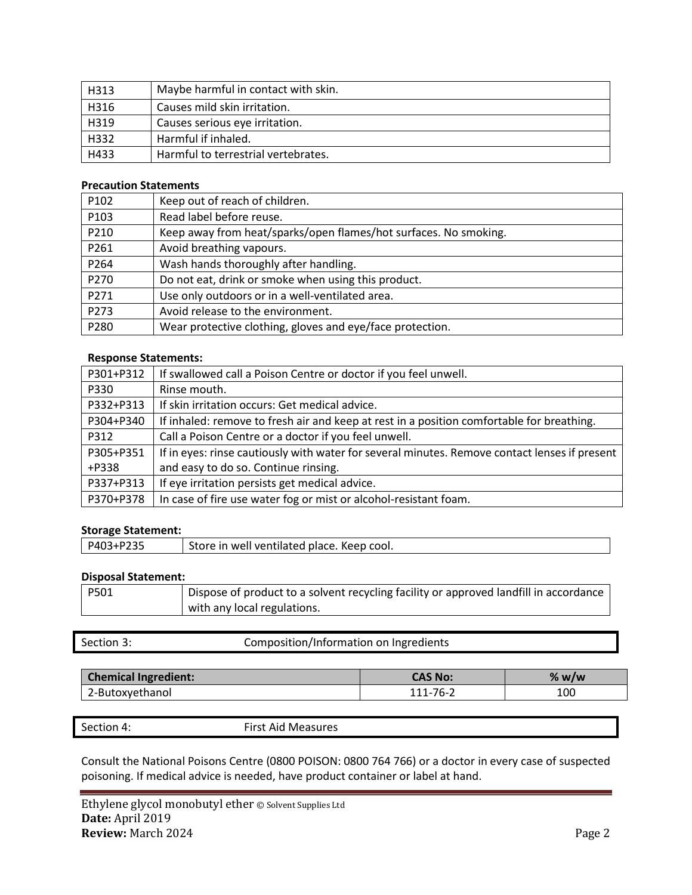| H313 | Maybe harmful in contact with skin. |
|------|-------------------------------------|
| H316 | Causes mild skin irritation.        |
| H319 | Causes serious eye irritation.      |
| H332 | Harmful if inhaled.                 |
| H433 | Harmful to terrestrial vertebrates. |

## **Precaution Statements**

| P102 | Keep out of reach of children.                                   |
|------|------------------------------------------------------------------|
| P103 | Read label before reuse.                                         |
| P210 | Keep away from heat/sparks/open flames/hot surfaces. No smoking. |
| P261 | Avoid breathing vapours.                                         |
| P264 | Wash hands thoroughly after handling.                            |
| P270 | Do not eat, drink or smoke when using this product.              |
| P271 | Use only outdoors or in a well-ventilated area.                  |
| P273 | Avoid release to the environment.                                |
| P280 | Wear protective clothing, gloves and eye/face protection.        |

## **Response Statements:**

| P301+P312 | If swallowed call a Poison Centre or doctor if you feel unwell.                               |
|-----------|-----------------------------------------------------------------------------------------------|
| P330      | Rinse mouth.                                                                                  |
| P332+P313 | If skin irritation occurs: Get medical advice.                                                |
| P304+P340 | If inhaled: remove to fresh air and keep at rest in a position comfortable for breathing.     |
| P312      | Call a Poison Centre or a doctor if you feel unwell.                                          |
| P305+P351 | If in eyes: rinse cautiously with water for several minutes. Remove contact lenses if present |
| +P338     | and easy to do so. Continue rinsing.                                                          |
| P337+P313 | If eye irritation persists get medical advice.                                                |
| P370+P378 | In case of fire use water fog or mist or alcohol-resistant foam.                              |

## **Storage Statement:**

| P403+P235<br>Store in well ventilated place. Keep cool. |
|---------------------------------------------------------|
|---------------------------------------------------------|

#### **Disposal Statement:**

| P501 | Dispose of product to a solvent recycling facility or approved landfill in accordance |
|------|---------------------------------------------------------------------------------------|
|      | with any local regulations.                                                           |

| Section 3: | Composition/Information on Ingredients |  |
|------------|----------------------------------------|--|
|------------|----------------------------------------|--|

| <b>Chemical Ingredient:</b> | <b>CAS No:</b>     | % w/w |
|-----------------------------|--------------------|-------|
| 2-Butoxyethanol             | 76-2<br>111<br>. . | 100   |

Section 4: First Aid Measures

Consult the National Poisons Centre (0800 POISON: 0800 764 766) or a doctor in every case of suspected poisoning. If medical advice is needed, have product container or label at hand.

Ethylene glycol monobutyl ether © Solvent Supplies Ltd **Date:** April 2019 **Review:** March 2024 Page 2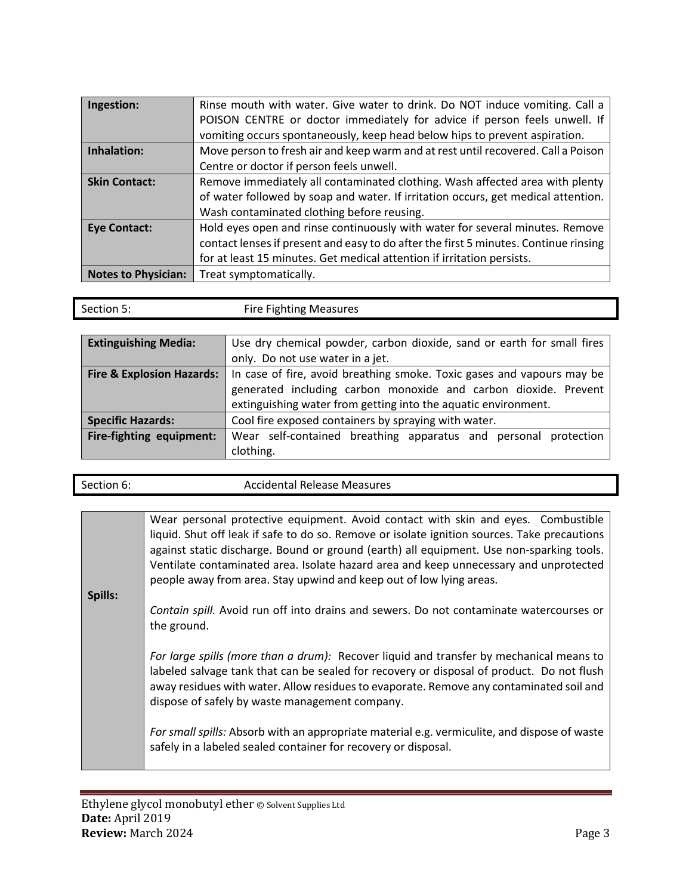| Ingestion:                 | Rinse mouth with water. Give water to drink. Do NOT induce vomiting. Call a          |
|----------------------------|--------------------------------------------------------------------------------------|
|                            | POISON CENTRE or doctor immediately for advice if person feels unwell. If            |
|                            | vomiting occurs spontaneously, keep head below hips to prevent aspiration.           |
| Inhalation:                | Move person to fresh air and keep warm and at rest until recovered. Call a Poison    |
|                            | Centre or doctor if person feels unwell.                                             |
| <b>Skin Contact:</b>       | Remove immediately all contaminated clothing. Wash affected area with plenty         |
|                            | of water followed by soap and water. If irritation occurs, get medical attention.    |
|                            | Wash contaminated clothing before reusing.                                           |
| <b>Eye Contact:</b>        | Hold eyes open and rinse continuously with water for several minutes. Remove         |
|                            | contact lenses if present and easy to do after the first 5 minutes. Continue rinsing |
|                            | for at least 15 minutes. Get medical attention if irritation persists.               |
| <b>Notes to Physician:</b> | Treat symptomatically.                                                               |

| Section 5:                  | <b>Fire Fighting Measures</b>                                         |
|-----------------------------|-----------------------------------------------------------------------|
|                             |                                                                       |
| <b>Extinguishing Media:</b> | Lise dry chemical nowder carbon dioxide sand or earth for small fires |

| <b>Extinguishing Media:</b> | Use dry chemical powder, carbon dioxide, sand or earth for small fires                             |  |
|-----------------------------|----------------------------------------------------------------------------------------------------|--|
|                             | only. Do not use water in a jet.                                                                   |  |
|                             | Fire & Explosion Hazards:   In case of fire, avoid breathing smoke. Toxic gases and vapours may be |  |
|                             | generated including carbon monoxide and carbon dioxide. Prevent                                    |  |
|                             | extinguishing water from getting into the aquatic environment.                                     |  |
| <b>Specific Hazards:</b>    | Cool fire exposed containers by spraying with water.                                               |  |
| Fire-fighting equipment:    | Wear self-contained breathing apparatus and personal protection                                    |  |
|                             | clothing.                                                                                          |  |

| Section 6: | <b>Accidental Release Measures</b> |
|------------|------------------------------------|
|            |                                    |

Wear personal protective equipment. Avoid contact with skin and eyes. Combustible liquid. Shut off leak if safe to do so. Remove or isolate ignition sources. Take precautions against static discharge. Bound or ground (earth) all equipment. Use non-sparking tools. Ventilate contaminated area. Isolate hazard area and keep unnecessary and unprotected people away from area. Stay upwind and keep out of low lying areas.

*Contain spill.* Avoid run off into drains and sewers. Do not contaminate watercourses or the ground.

*For large spills (more than a drum):* Recover liquid and transfer by mechanical means to labeled salvage tank that can be sealed for recovery or disposal of product. Do not flush away residues with water. Allow residues to evaporate. Remove any contaminated soil and dispose of safely by waste management company.

*For small spills:* Absorb with an appropriate material e.g. vermiculite, and dispose of waste safely in a labeled sealed container for recovery or disposal.

**Spills:**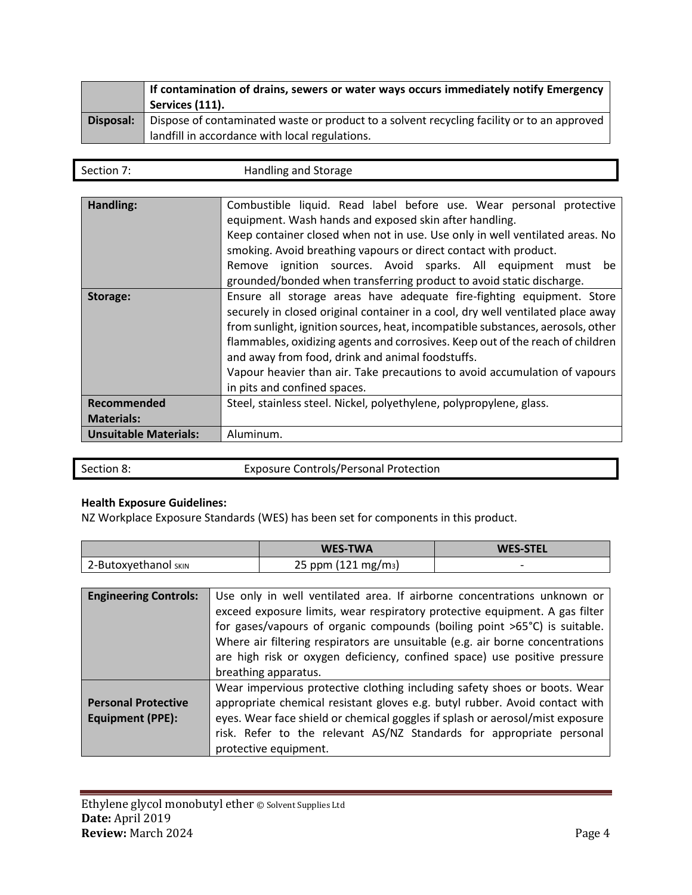|           | If contamination of drains, sewers or water ways occurs immediately notify Emergency<br><sup>'</sup> Services (111). |
|-----------|----------------------------------------------------------------------------------------------------------------------|
| Disposal: | Dispose of contaminated waste or product to a solvent recycling facility or to an approved                           |
|           | landfill in accordance with local regulations.                                                                       |

| Section 7. | Handling and Storage |
|------------|----------------------|
|            |                      |

| Handling:                    | Combustible liquid. Read label before use. Wear personal protective<br>equipment. Wash hands and exposed skin after handling.<br>Keep container closed when not in use. Use only in well ventilated areas. No<br>smoking. Avoid breathing vapours or direct contact with product.<br>Remove ignition sources. Avoid sparks. All equipment must<br>be<br>grounded/bonded when transferring product to avoid static discharge.                                                                    |
|------------------------------|-------------------------------------------------------------------------------------------------------------------------------------------------------------------------------------------------------------------------------------------------------------------------------------------------------------------------------------------------------------------------------------------------------------------------------------------------------------------------------------------------|
| Storage:                     | Ensure all storage areas have adequate fire-fighting equipment. Store<br>securely in closed original container in a cool, dry well ventilated place away<br>from sunlight, ignition sources, heat, incompatible substances, aerosols, other<br>flammables, oxidizing agents and corrosives. Keep out of the reach of children<br>and away from food, drink and animal foodstuffs.<br>Vapour heavier than air. Take precautions to avoid accumulation of vapours<br>in pits and confined spaces. |
| Recommended                  | Steel, stainless steel. Nickel, polyethylene, polypropylene, glass.                                                                                                                                                                                                                                                                                                                                                                                                                             |
| <b>Materials:</b>            |                                                                                                                                                                                                                                                                                                                                                                                                                                                                                                 |
| <b>Unsuitable Materials:</b> | Aluminum.                                                                                                                                                                                                                                                                                                                                                                                                                                                                                       |

Section 8: Exposure Controls/Personal Protection

## **Health Exposure Guidelines:**

NZ Workplace Exposure Standards (WES) has been set for components in this product.

|                              | <b>WES-TWA</b>                                                                | <b>WES-STEL</b> |
|------------------------------|-------------------------------------------------------------------------------|-----------------|
| 2-Butoxyethanol SKIN         | $25$ ppm (121 mg/m <sub>3</sub> )                                             |                 |
|                              |                                                                               |                 |
| <b>Engineering Controls:</b> | Use only in well ventilated area. If airborne concentrations unknown or       |                 |
|                              | exceed exposure limits, wear respiratory protective equipment. A gas filter   |                 |
|                              | for example, and af arrange communicate the first restation CFRO) is actually |                 |

|                            | for gases/vapours of organic compounds (boiling point >65°C) is suitable.<br>Where air filtering respirators are unsuitable (e.g. air borne concentrations<br>are high risk or oxygen deficiency, confined space) use positive pressure<br>breathing apparatus. |
|----------------------------|-----------------------------------------------------------------------------------------------------------------------------------------------------------------------------------------------------------------------------------------------------------------|
|                            |                                                                                                                                                                                                                                                                 |
|                            | Wear impervious protective clothing including safety shoes or boots. Wear                                                                                                                                                                                       |
| <b>Personal Protective</b> | appropriate chemical resistant gloves e.g. butyl rubber. Avoid contact with                                                                                                                                                                                     |
| <b>Equipment (PPE):</b>    | eyes. Wear face shield or chemical goggles if splash or aerosol/mist exposure                                                                                                                                                                                   |
|                            | risk. Refer to the relevant AS/NZ Standards for appropriate personal                                                                                                                                                                                            |
|                            | protective equipment.                                                                                                                                                                                                                                           |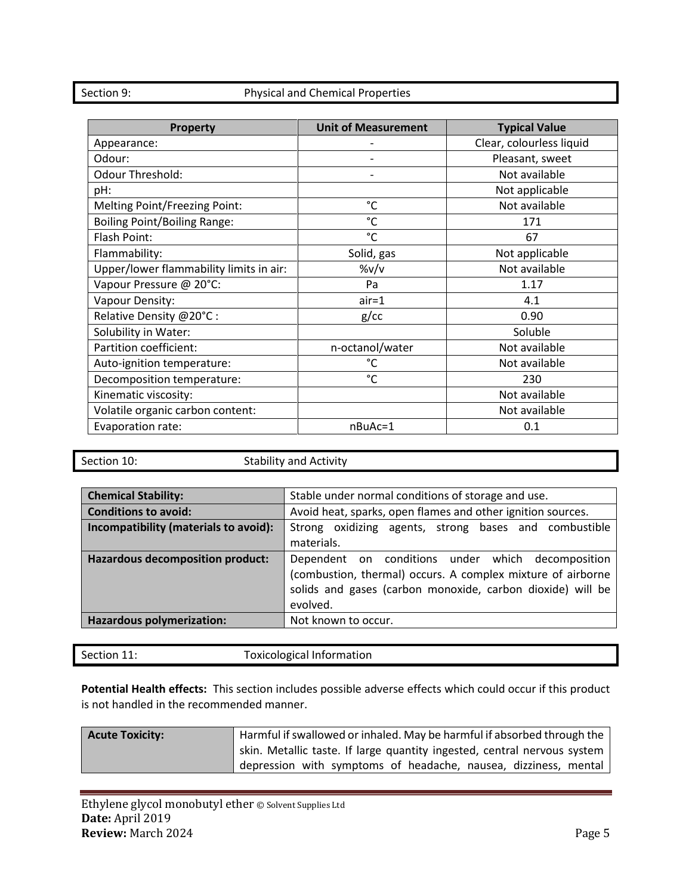## Section 9: Physical and Chemical Properties

| Property                                | <b>Unit of Measurement</b> | <b>Typical Value</b>     |
|-----------------------------------------|----------------------------|--------------------------|
| Appearance:                             |                            | Clear, colourless liquid |
| Odour:                                  |                            | Pleasant, sweet          |
| <b>Odour Threshold:</b>                 |                            | Not available            |
| pH:                                     |                            | Not applicable           |
| Melting Point/Freezing Point:           | $^{\circ}$ C               | Not available            |
| <b>Boiling Point/Boiling Range:</b>     | $^{\circ}$ C               | 171                      |
| Flash Point:                            | $^{\circ}$ C               | 67                       |
| Flammability:                           | Solid, gas                 | Not applicable           |
| Upper/lower flammability limits in air: | $\frac{\%v}{v}$            | Not available            |
| Vapour Pressure @ 20°C:                 | Pa                         | 1.17                     |
| Vapour Density:                         | $air = 1$                  | 4.1                      |
| Relative Density @20°C:                 | $g$ / $cc$                 | 0.90                     |
| Solubility in Water:                    |                            | Soluble                  |
| Partition coefficient:                  | n-octanol/water            | Not available            |
| Auto-ignition temperature:              | $^{\circ}$ C               | Not available            |
| Decomposition temperature:              | $^{\circ}$ C               | 230                      |
| Kinematic viscosity:                    |                            | Not available            |
| Volatile organic carbon content:        |                            | Not available            |
| Evaporation rate:                       | nBuAc=1                    | 0.1                      |

Section 10: Stability and Activity

| <b>Chemical Stability:</b>            | Stable under normal conditions of storage and use.                                                                                                                                         |
|---------------------------------------|--------------------------------------------------------------------------------------------------------------------------------------------------------------------------------------------|
| <b>Conditions to avoid:</b>           | Avoid heat, sparks, open flames and other ignition sources.                                                                                                                                |
| Incompatibility (materials to avoid): | Strong oxidizing agents, strong bases and combustible<br>materials.                                                                                                                        |
| Hazardous decomposition product:      | Dependent on conditions under which decomposition<br>(combustion, thermal) occurs. A complex mixture of airborne<br>solids and gases (carbon monoxide, carbon dioxide) will be<br>evolved. |
| Hazardous polymerization:             | Not known to occur.                                                                                                                                                                        |

| <b>Toxicological Information</b><br>Section 11: |
|-------------------------------------------------|
|-------------------------------------------------|

**Potential Health effects:** This section includes possible adverse effects which could occur if this product is not handled in the recommended manner.

| <b>Acute Toxicity:</b> | Harmful if swallowed or inhaled. May be harmful if absorbed through the  |
|------------------------|--------------------------------------------------------------------------|
|                        | skin. Metallic taste. If large quantity ingested, central nervous system |
|                        | depression with symptoms of headache, nausea, dizziness, mental          |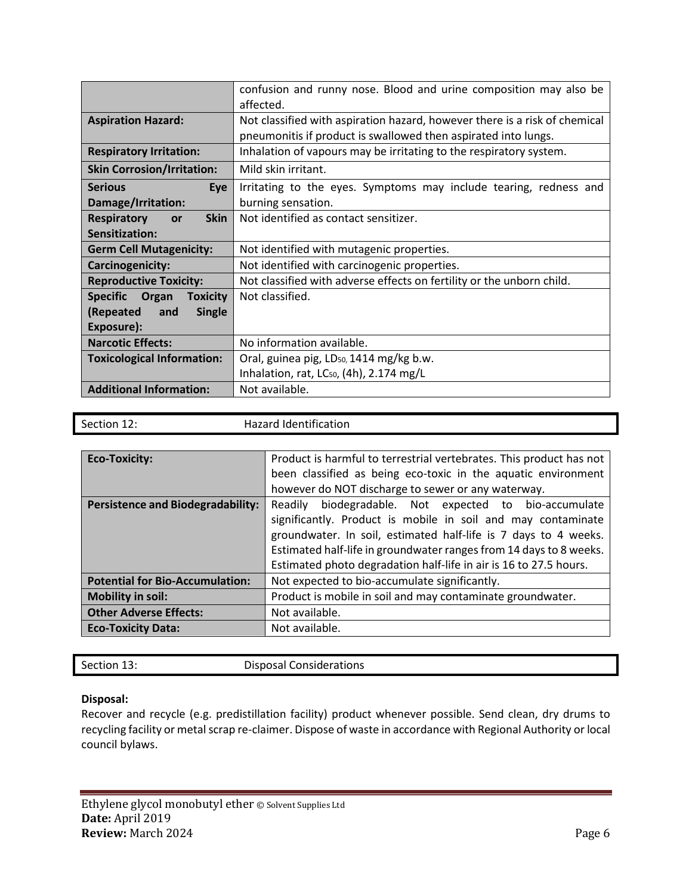|                                             | confusion and runny nose. Blood and urine composition may also be          |
|---------------------------------------------|----------------------------------------------------------------------------|
|                                             | affected.                                                                  |
| <b>Aspiration Hazard:</b>                   | Not classified with aspiration hazard, however there is a risk of chemical |
|                                             | pneumonitis if product is swallowed then aspirated into lungs.             |
| <b>Respiratory Irritation:</b>              | Inhalation of vapours may be irritating to the respiratory system.         |
| <b>Skin Corrosion/Irritation:</b>           | Mild skin irritant.                                                        |
| <b>Serious</b><br>Eye                       | Irritating to the eyes. Symptoms may include tearing, redness and          |
| Damage/Irritation:                          | burning sensation.                                                         |
| <b>Skin</b><br><b>Respiratory</b><br>or     | Not identified as contact sensitizer.                                      |
| Sensitization:                              |                                                                            |
| <b>Germ Cell Mutagenicity:</b>              | Not identified with mutagenic properties.                                  |
| <b>Carcinogenicity:</b>                     | Not identified with carcinogenic properties.                               |
| <b>Reproductive Toxicity:</b>               | Not classified with adverse effects on fertility or the unborn child.      |
| <b>Specific</b><br>Organ<br><b>Toxicity</b> | Not classified.                                                            |
| (Repeated<br><b>Single</b><br>and           |                                                                            |
| Exposure):                                  |                                                                            |
| <b>Narcotic Effects:</b>                    | No information available.                                                  |
| <b>Toxicological Information:</b>           | Oral, guinea pig, LD <sub>50</sub> , 1414 mg/kg b.w.                       |
|                                             | Inhalation, rat, LC <sub>50</sub> , (4h), 2.174 mg/L                       |
| <b>Additional Information:</b>              | Not available.                                                             |

| Section 12:                              | <b>Hazard Identification</b>                                        |
|------------------------------------------|---------------------------------------------------------------------|
|                                          |                                                                     |
| <b>Eco-Toxicity:</b>                     | Product is harmful to terrestrial vertebrates. This product has not |
|                                          | been classified as being eco-toxic in the aquatic environment       |
|                                          | however do NOT discharge to sewer or any waterway.                  |
| <b>Persistence and Biodegradability:</b> | biodegradable. Not expected to bio-accumulate<br>Readily            |
|                                          | significantly. Product is mobile in soil and may contaminate        |
|                                          | groundwater. In soil, estimated half-life is 7 days to 4 weeks.     |
|                                          | Estimated half-life in groundwater ranges from 14 days to 8 weeks.  |
|                                          | Estimated photo degradation half-life in air is 16 to 27.5 hours.   |
| <b>Potential for Bio-Accumulation:</b>   | Not expected to bio-accumulate significantly.                       |
| <b>Mobility in soil:</b>                 | Product is mobile in soil and may contaminate groundwater.          |
| <b>Other Adverse Effects:</b>            | Not available.                                                      |
| <b>Eco-Toxicity Data:</b>                | Not available.                                                      |

| Section 13:<br><b>Disposal Considerations</b> |  |
|-----------------------------------------------|--|
|-----------------------------------------------|--|

## **Disposal:**

Recover and recycle (e.g. predistillation facility) product whenever possible. Send clean, dry drums to recycling facility or metal scrap re-claimer. Dispose of waste in accordance with Regional Authority or local council bylaws.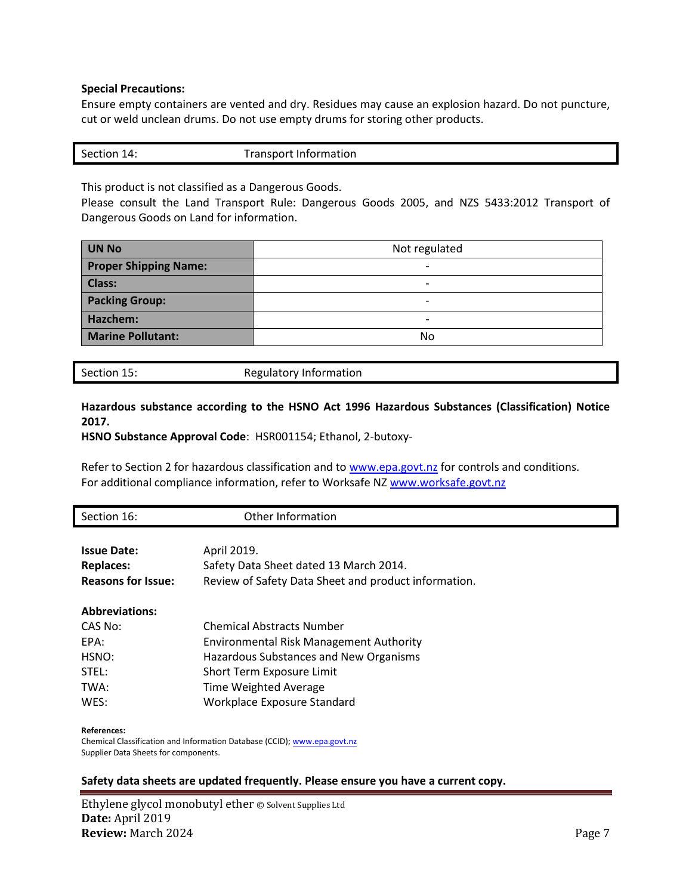#### **Special Precautions:**

Ensure empty containers are vented and dry. Residues may cause an explosion hazard. Do not puncture, cut or weld unclean drums. Do not use empty drums for storing other products.

| Section 14: | <b>Transport Information</b> |
|-------------|------------------------------|
|             |                              |

This product is not classified as a Dangerous Goods.

Please consult the Land Transport Rule: Dangerous Goods 2005, and NZS 5433:2012 Transport of Dangerous Goods on Land for information.

| <b>UN No</b>                 | Not regulated            |
|------------------------------|--------------------------|
| <b>Proper Shipping Name:</b> | $\overline{\phantom{0}}$ |
| <b>Class:</b>                | -                        |
| <b>Packing Group:</b>        | -                        |
| Hazchem:                     | -                        |
| <b>Marine Pollutant:</b>     | No                       |

Section 15: Regulatory Information

## **Hazardous substance according to the HSNO Act 1996 Hazardous Substances (Classification) Notice 2017.**

**HSNO Substance Approval Code**: HSR001154; Ethanol, 2-butoxy-

Refer to Section 2 for hazardous classification and to [www.epa.govt.nz](http://www.epa.govt.nz/) for controls and conditions. For additional compliance information, refer to Worksafe NZ [www.worksafe.govt.nz](http://www.worksafe.govt.nz/)

| Section 16:               | Other Information                                    |
|---------------------------|------------------------------------------------------|
|                           |                                                      |
| <b>Issue Date:</b>        | April 2019.                                          |
| <b>Replaces:</b>          | Safety Data Sheet dated 13 March 2014.               |
| <b>Reasons for Issue:</b> | Review of Safety Data Sheet and product information. |
| <b>Abbreviations:</b>     |                                                      |
| CAS No:                   | <b>Chemical Abstracts Number</b>                     |
| EPA:                      | <b>Environmental Risk Management Authority</b>       |
| HSNO:                     | Hazardous Substances and New Organisms               |
| STEL:                     | Short Term Exposure Limit                            |
| TWA:                      | <b>Time Weighted Average</b>                         |
| WES:                      | Workplace Exposure Standard                          |
| References:               |                                                      |

Chemical Classification and Information Database (CCID)[; www.epa.govt.nz](http://www.epa.govt.nz/) Supplier Data Sheets for components.

#### **Safety data sheets are updated frequently. Please ensure you have a current copy.**

Ethylene glycol monobutyl ether © Solvent Supplies Ltd **Date:** April 2019 **Review:** March 2024 **Page 7**